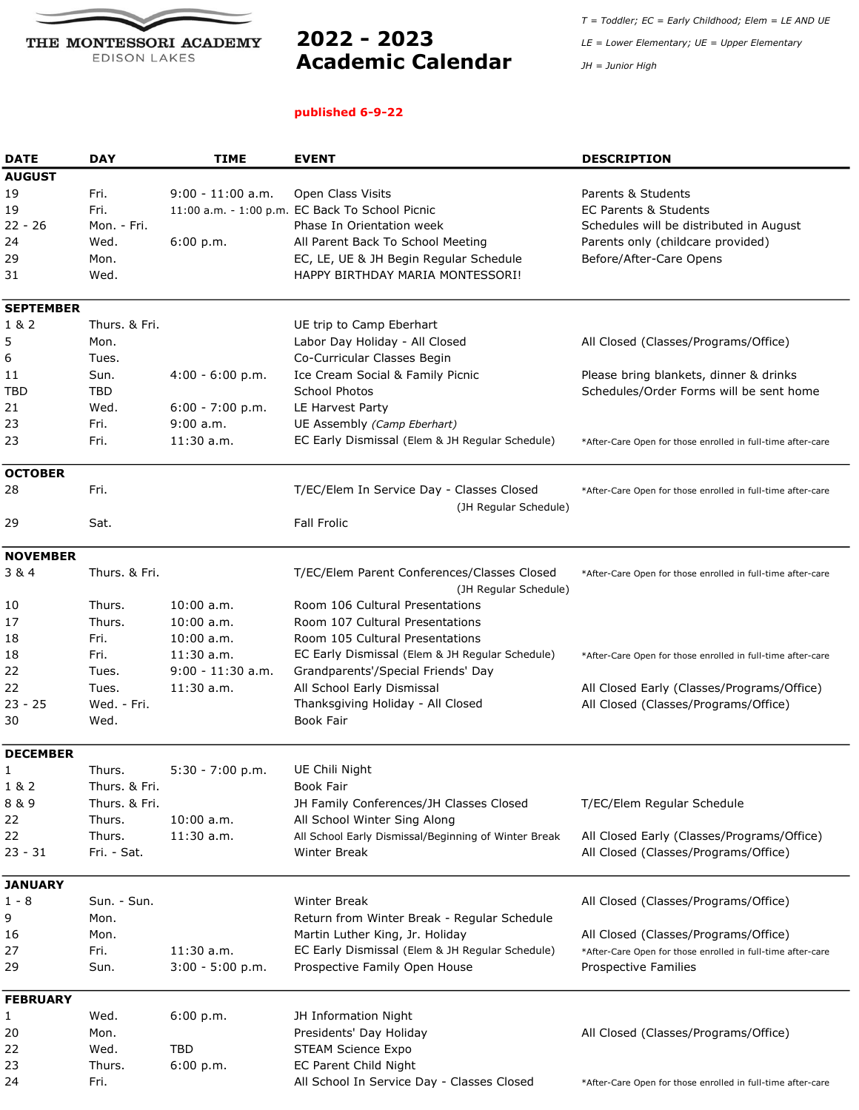

## Academic Calendar JH = Junior High

## published 6-9-22

 $T = Toddler; EC = Early Childhood; Element = LE AND UE$  $2022 - 2023$  LE = Lower Elementary; UE = Upper Elementary

| <b>DATE</b>      | <b>DAY</b>    | <b>TIME</b>         | <b>EVENT</b>                                         | <b>DESCRIPTION</b>                                          |
|------------------|---------------|---------------------|------------------------------------------------------|-------------------------------------------------------------|
| <b>AUGUST</b>    |               |                     |                                                      |                                                             |
| 19               | Fri.          | $9:00 - 11:00$ a.m. | Open Class Visits                                    | Parents & Students                                          |
| 19               | Fri.          |                     | 11:00 a.m. - 1:00 p.m. EC Back To School Picnic      | <b>EC Parents &amp; Students</b>                            |
| $22 - 26$        | Mon. - Fri.   |                     | Phase In Orientation week                            | Schedules will be distributed in August                     |
| 24               | Wed.          | 6:00 p.m.           | All Parent Back To School Meeting                    | Parents only (childcare provided)                           |
| 29               | Mon.          |                     | EC, LE, UE & JH Begin Regular Schedule               | Before/After-Care Opens                                     |
| 31               | Wed.          |                     | HAPPY BIRTHDAY MARIA MONTESSORI!                     |                                                             |
|                  |               |                     |                                                      |                                                             |
| <b>SEPTEMBER</b> |               |                     |                                                      |                                                             |
| 1 & 2            | Thurs, & Fri. |                     | UE trip to Camp Eberhart                             |                                                             |
| 5                | Mon.          |                     | Labor Day Holiday - All Closed                       | All Closed (Classes/Programs/Office)                        |
| 6                | Tues.         |                     | Co-Curricular Classes Begin                          |                                                             |
| 11               | Sun.          | $4:00 - 6:00 p.m.$  | Ice Cream Social & Family Picnic                     | Please bring blankets, dinner & drinks                      |
| TBD              | <b>TBD</b>    |                     | School Photos                                        | Schedules/Order Forms will be sent home                     |
| 21               | Wed.          | $6:00 - 7:00 p.m.$  | LE Harvest Party                                     |                                                             |
| 23               | Fri.          | $9:00$ a.m.         | UE Assembly (Camp Eberhart)                          |                                                             |
| 23               | Fri.          | $11:30$ a.m.        | EC Early Dismissal (Elem & JH Regular Schedule)      |                                                             |
|                  |               |                     |                                                      | *After-Care Open for those enrolled in full-time after-care |
| <b>OCTOBER</b>   |               |                     |                                                      |                                                             |
| 28               | Fri.          |                     | T/EC/Elem In Service Day - Classes Closed            | *After-Care Open for those enrolled in full-time after-care |
|                  |               |                     | (JH Regular Schedule)                                |                                                             |
| 29               | Sat.          |                     | <b>Fall Frolic</b>                                   |                                                             |
|                  |               |                     |                                                      |                                                             |
| <b>NOVEMBER</b>  |               |                     |                                                      |                                                             |
| 3&4              | Thurs. & Fri. |                     | T/EC/Elem Parent Conferences/Classes Closed          | *After-Care Open for those enrolled in full-time after-care |
|                  |               |                     | (JH Regular Schedule)                                |                                                             |
| 10               | Thurs.        | $10:00$ a.m.        | Room 106 Cultural Presentations                      |                                                             |
| 17               | Thurs.        | $10:00$ a.m.        | Room 107 Cultural Presentations                      |                                                             |
| 18               | Fri.          | $10:00$ a.m.        | Room 105 Cultural Presentations                      |                                                             |
| 18               | Fri.          | 11:30a.m.           | EC Early Dismissal (Elem & JH Regular Schedule)      | *After-Care Open for those enrolled in full-time after-care |
| 22               | Tues.         | 9:00 - 11:30 a.m.   | Grandparents'/Special Friends' Day                   |                                                             |
| 22               | Tues.         | $11:30$ a.m.        | All School Early Dismissal                           | All Closed Early (Classes/Programs/Office)                  |
| $23 - 25$        | Wed. - Fri.   |                     | Thanksgiving Holiday - All Closed                    | All Closed (Classes/Programs/Office)                        |
| 30               | Wed.          |                     | Book Fair                                            |                                                             |
|                  |               |                     |                                                      |                                                             |
| <b>DECEMBER</b>  |               |                     |                                                      |                                                             |
| 1                | Thurs.        | $5:30 - 7:00 p.m.$  | UE Chili Night                                       |                                                             |
| 1 & 2            | Thurs. & Fri. |                     | Book Fair                                            |                                                             |
| 8 & 9            | Thurs. & Fri. |                     | JH Family Conferences/JH Classes Closed              | T/EC/Elem Regular Schedule                                  |
| 22               | Thurs.        | $10:00$ a.m.        | All School Winter Sing Along                         |                                                             |
| 22               | Thurs.        | 11:30 a.m.          | All School Early Dismissal/Beginning of Winter Break | All Closed Early (Classes/Programs/Office)                  |
| $23 - 31$        | Fri. - Sat.   |                     | Winter Break                                         | All Closed (Classes/Programs/Office)                        |
|                  |               |                     |                                                      |                                                             |
| <b>JANUARY</b>   |               |                     |                                                      |                                                             |
| $1 - 8$          | Sun. - Sun.   |                     | Winter Break                                         | All Closed (Classes/Programs/Office)                        |
| 9                | Mon.          |                     | Return from Winter Break - Regular Schedule          |                                                             |
| 16               | Mon.          |                     | Martin Luther King, Jr. Holiday                      | All Closed (Classes/Programs/Office)                        |
| 27               | Fri.          | $11:30$ a.m.        | EC Early Dismissal (Elem & JH Regular Schedule)      | *After-Care Open for those enrolled in full-time after-care |
| 29               | Sun.          | $3:00 - 5:00 p.m.$  | Prospective Family Open House                        | Prospective Families                                        |
| <b>FEBRUARY</b>  |               |                     |                                                      |                                                             |
| 1                | Wed.          | 6:00 p.m.           | JH Information Night                                 |                                                             |
| 20               | Mon.          |                     | Presidents' Day Holiday                              | All Closed (Classes/Programs/Office)                        |
| 22               | Wed.          | TBD                 | <b>STEAM Science Expo</b>                            |                                                             |
| 23               | Thurs.        | 6:00 p.m.           | EC Parent Child Night                                |                                                             |
| 24               | Fri.          |                     | All School In Service Day - Classes Closed           | *After-Care Open for those enrolled in full-time after-care |